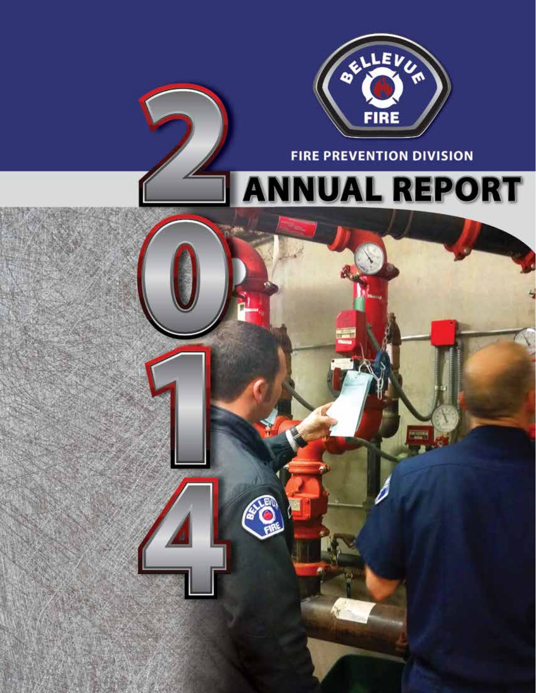

**FIRE PREVENTION DIVISION** 

# **NUAL REPORT**  $\overline{\mathbf{A}}$

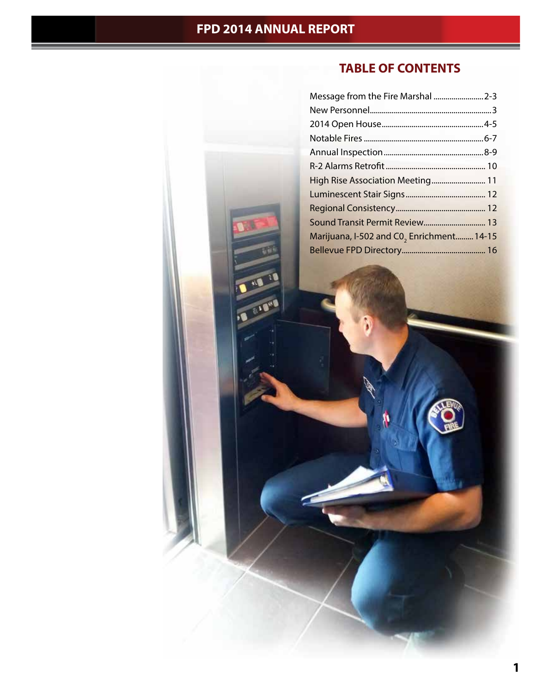VE THE TE

# **TABLE OF CONTENTS**

| Message from the Fire Marshal  2-3        |  |
|-------------------------------------------|--|
|                                           |  |
|                                           |  |
|                                           |  |
|                                           |  |
|                                           |  |
| High Rise Association Meeting 11          |  |
|                                           |  |
|                                           |  |
| Sound Transit Permit Review 13            |  |
| Marijuana, I-502 and C0, Enrichment 14-15 |  |
|                                           |  |
|                                           |  |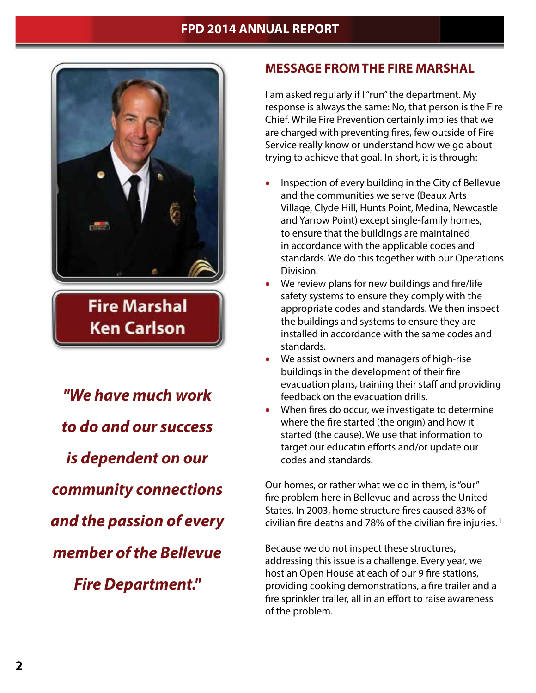

**Fire Marshal Ken Carlson** 

*"We have much work to do and our success is dependent on our community connections and the passion of every member of the Bellevue Fire Department."*

### **MESSAGE FROM THE FIRE MARSHAL**

I am asked regularly if I "run" the department. My response is always the same: No, that person is the Fire Chief. While Fire Prevention certainly implies that we are charged with preventing fires, few outside of Fire Service really know or understand how we go about trying to achieve that goal. In short, it is through:

- Inspection of every building in the City of Bellevue and the communities we serve (Beaux Arts Village, Clyde Hill, Hunts Point, Medina, Newcastle and Yarrow Point) except single-family homes, to ensure that the buildings are maintained in accordance with the applicable codes and standards. We do this together with our Operations Division.
- We review plans for new buildings and fire/life safety systems to ensure they comply with the appropriate codes and standards. We then inspect the buildings and systems to ensure they are installed in accordance with the same codes and standards.
- We assist owners and managers of high-rise buildings in the development of their fire evacuation plans, training their staff and providing feedback on the evacuation drills.
- When fires do occur, we investigate to determine where the fire started (the origin) and how it started (the cause). We use that information to target our educatin efforts and/or update our codes and standards.

Our homes, or rather what we do in them, is "our" fire problem here in Bellevue and across the United States. In 2003, home structure fires caused 83% of civilian fire deaths and 78% of the civilian fire injuries.<sup>1</sup>

Because we do not inspect these structures, addressing this issue is a challenge. Every year, we host an Open House at each of our 9 fire stations, providing cooking demonstrations, a fire trailer and a fire sprinkler trailer, all in an effort to raise awareness of the problem.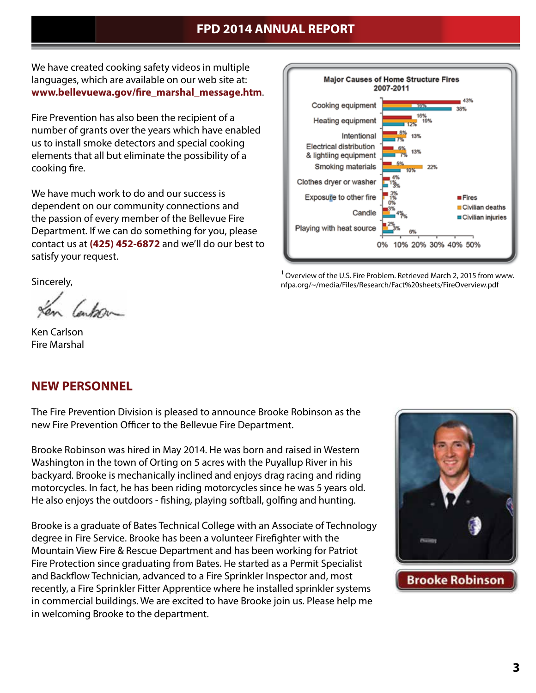We have created cooking safety videos in multiple languages, which are available on our web site at: **www.bellevuewa.gov/fire\_marshal\_message.htm**.

Fire Prevention has also been the recipient of a number of grants over the years which have enabled us to install smoke detectors and special cooking elements that all but eliminate the possibility of a cooking fire.

We have much work to do and our success is dependent on our community connections and the passion of every member of the Bellevue Fire Department. If we can do something for you, please contact us at **(425) 452-6872** and we'll do our best to satisfy your request.



lenkon-

Ken Carlson Fire Marshal

### **NEW PERSONNEL**

The Fire Prevention Division is pleased to announce Brooke Robinson as the new Fire Prevention Officer to the Bellevue Fire Department.

Brooke Robinson was hired in May 2014. He was born and raised in Western Washington in the town of Orting on 5 acres with the Puyallup River in his backyard. Brooke is mechanically inclined and enjoys drag racing and riding motorcycles. In fact, he has been riding motorcycles since he was 5 years old. He also enjoys the outdoors - fishing, playing softball, golfing and hunting.

Brooke is a graduate of Bates Technical College with an Associate of Technology degree in Fire Service. Brooke has been a volunteer Firefighter with the Mountain View Fire & Rescue Department and has been working for Patriot Fire Protection since graduating from Bates. He started as a Permit Specialist and Backflow Technician, advanced to a Fire Sprinkler Inspector and, most recently, a Fire Sprinkler Fitter Apprentice where he installed sprinkler systems in commercial buildings. We are excited to have Brooke join us. Please help me in welcoming Brooke to the department.



<sup>1</sup> Overview of the U.S. Fire Problem. Retrieved March 2, 2015 from www. nfpa.org/~/media/Files/Research/Fact%20sheets/FireOverview.pdf

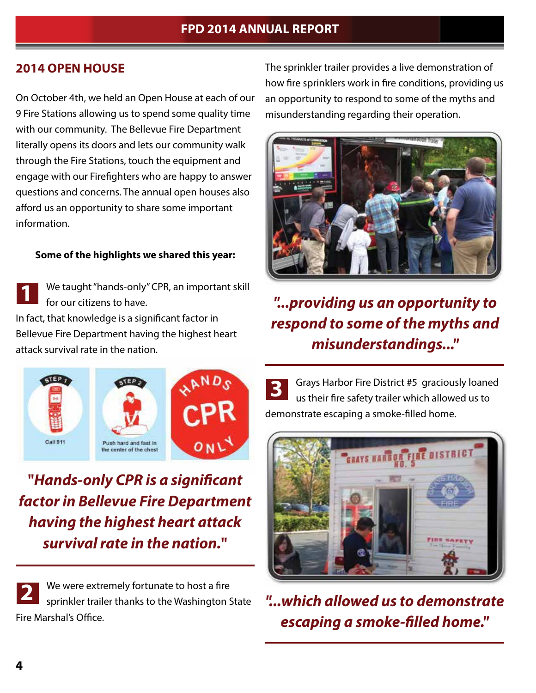### **2014 OPEN HOUSE**

On October 4th, we held an Open House at each of our 9 Fire Stations allowing us to spend some quality time with our community. The Bellevue Fire Department literally opens its doors and lets our community walk through the Fire Stations, touch the equipment and engage with our Firefighters who are happy to answer questions and concerns. The annual open houses also afford us an opportunity to share some important information.

#### **Some of the highlights we shared this year:**

We taught "hands-only" CPR, an important skill for our citizens to have. In fact, that knowledge is a significant factor in Bellevue Fire Department having the highest heart attack survival rate in the nation. **1**

The sprinkler trailer provides a live demonstration of how fire sprinklers work in fire conditions, providing us an opportunity to respond to some of the myths and misunderstanding regarding their operation.



# *"...providing us an opportunity to respond to some of the myths and misunderstandings..."*



**"***Hands-only CPR is a significant factor in Bellevue Fire Department having the highest heart attack survival rate in the nation.***"**

We were extremely fortunate to host a fire sprinkler trailer thanks to the Washington State Fire Marshal's Office. **2**

**3** Grays Harbor Fire District #5 graciously loaned us their fire safety trailer which allowed us to demonstrate escaping a smoke-filled home.



*"...which allowed us to demonstrate escaping a smoke-filled home."*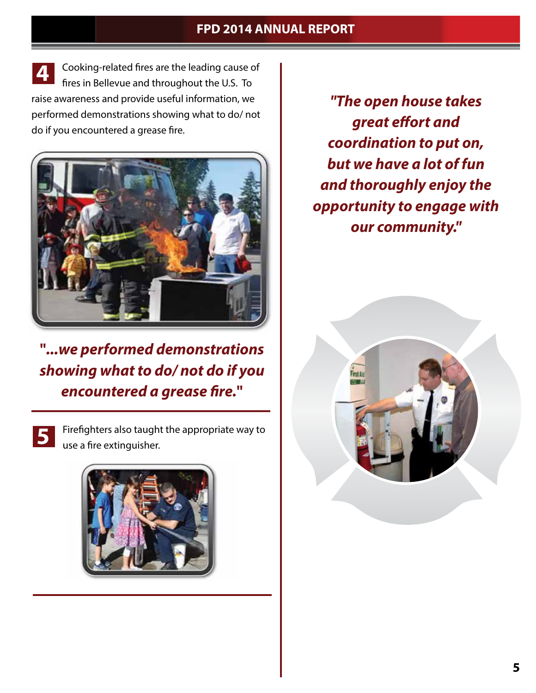Cooking-related fires are the leading cause of fires in Bellevue and throughout the U.S. To raise awareness and provide useful information, we performed demonstrations showing what to do/ not do if you encountered a grease fire. **4**



**"***...we performed demonstrations showing what to do/ not do if you encountered a grease fire.***"**

**5**

Firefighters also taught the appropriate way to use a fire extinguisher.



*"The open house takes great effort and coordination to put on, but we have a lot of fun and thoroughly enjoy the opportunity to engage with our community."*

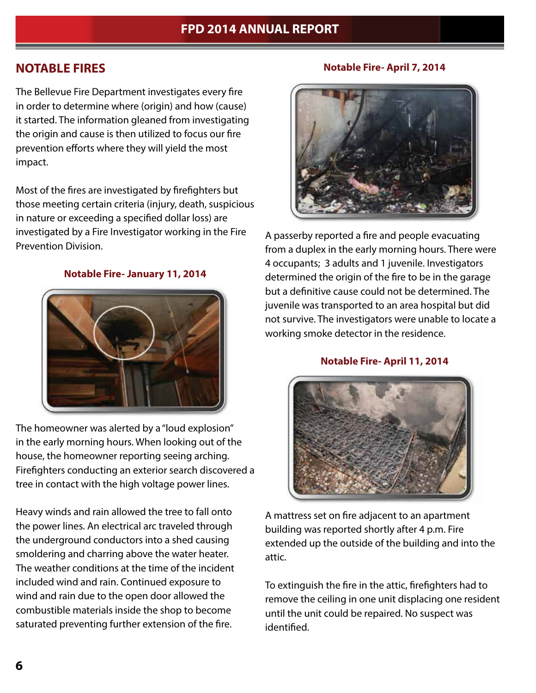## **NOTABLE FIRES**

The Bellevue Fire Department investigates every fire in order to determine where (origin) and how (cause) it started. The information gleaned from investigating the origin and cause is then utilized to focus our fire prevention efforts where they will yield the most impact.

Most of the fires are investigated by firefighters but those meeting certain criteria (injury, death, suspicious in nature or exceeding a specified dollar loss) are investigated by a Fire Investigator working in the Fire Prevention Division.

#### **Notable Fire- January 11, 2014**



The homeowner was alerted by a "loud explosion" in the early morning hours. When looking out of the house, the homeowner reporting seeing arching. Firefighters conducting an exterior search discovered a tree in contact with the high voltage power lines.

Heavy winds and rain allowed the tree to fall onto the power lines. An electrical arc traveled through the underground conductors into a shed causing smoldering and charring above the water heater. The weather conditions at the time of the incident included wind and rain. Continued exposure to wind and rain due to the open door allowed the combustible materials inside the shop to become saturated preventing further extension of the fire.

#### **Notable Fire- April 7, 2014**



A passerby reported a fire and people evacuating from a duplex in the early morning hours. There were 4 occupants; 3 adults and 1 juvenile. Investigators determined the origin of the fire to be in the garage but a definitive cause could not be determined. The juvenile was transported to an area hospital but did not survive. The investigators were unable to locate a working smoke detector in the residence.

#### **Notable Fire- April 11, 2014**



A mattress set on fire adjacent to an apartment building was reported shortly after 4 p.m. Fire extended up the outside of the building and into the attic.

To extinguish the fire in the attic, firefighters had to remove the ceiling in one unit displacing one resident until the unit could be repaired. No suspect was identified.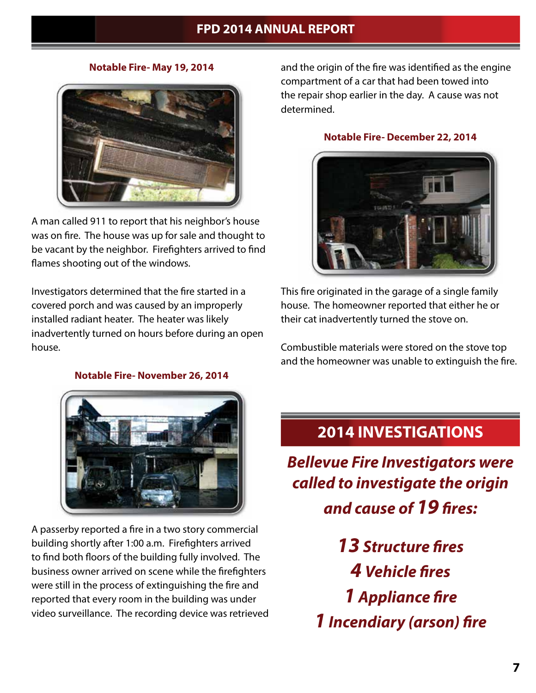**Notable Fire- May 19, 2014**



A man called 911 to report that his neighbor's house was on fire. The house was up for sale and thought to be vacant by the neighbor. Firefighters arrived to find flames shooting out of the windows.

Investigators determined that the fire started in a covered porch and was caused by an improperly installed radiant heater. The heater was likely inadvertently turned on hours before during an open house.

**Notable Fire- November 26, 2014**



A passerby reported a fire in a two story commercial building shortly after 1:00 a.m. Firefighters arrived to find both floors of the building fully involved. The business owner arrived on scene while the firefighters were still in the process of extinguishing the fire and reported that every room in the building was under video surveillance. The recording device was retrieved and the origin of the fire was identified as the engine compartment of a car that had been towed into the repair shop earlier in the day. A cause was not determined.

#### **Notable Fire- December 22, 2014**



This fire originated in the garage of a single family house. The homeowner reported that either he or their cat inadvertently turned the stove on.

Combustible materials were stored on the stove top and the homeowner was unable to extinguish the fire.

# **2014 INVESTIGATIONS**

*Bellevue Fire Investigators were called to investigate the origin and cause of 19 fires:*

> *13 Structure fires 4 Vehicle fires 1 Appliance fire 1 Incendiary (arson) fire*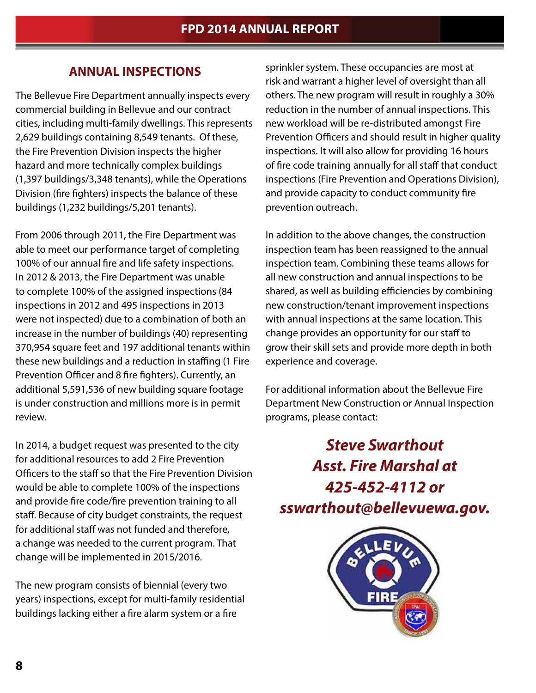### **ANNUAL INSPECTIONS**

The Bellevue Fire Department annually inspects every commercial building in Bellevue and our contract cities, including multi-family dwellings. This represents 2,629 buildings containing 8,549 tenants. Of these, the Fire Prevention Division inspects the higher hazard and more technically complex buildings (1,397 buildings/3,348 tenants), while the Operations Division (fire fighters) inspects the balance of these buildings (1,232 buildings/5,201 tenants).

From 2006 through 2011, the Fire Department was able to meet our performance target of completing 100% of our annual fire and life safety inspections. In 2012 & 2013, the Fire Department was unable to complete 100% of the assigned inspections (84 inspections in 2012 and 495 inspections in 2013 were not inspected) due to a combination of both an increase in the number of buildings (40) representing 370,954 square feet and 197 additional tenants within these new buildings and a reduction in staffing (1 Fire Prevention Officer and 8 fire fighters). Currently, an additional 5,591,536 of new building square footage is under construction and millions more is in permit review.

In 2014, a budget request was presented to the city for additional resources to add 2 Fire Prevention Officers to the staff so that the Fire Prevention Division would be able to complete 100% of the inspections and provide fire code/fire prevention training to all staff. Because of city budget constraints, the request for additional staff was not funded and therefore, a change was needed to the current program. That change will be implemented in 2015/2016.

The new program consists of biennial (every two years) inspections, except for multi-family residential buildings lacking either a fire alarm system or a fire

sprinkler system. These occupancies are most at risk and warrant a higher level of oversight than all others. The new program will result in roughly a 30% reduction in the number of annual inspections. This new workload will be re-distributed amongst Fire Prevention Officers and should result in higher quality inspections. It will also allow for providing 16 hours of fire code training annually for all staff that conduct inspections (Fire Prevention and Operations Division), and provide capacity to conduct community fire prevention outreach.

In addition to the above changes, the construction inspection team has been reassigned to the annual inspection team. Combining these teams allows for all new construction and annual inspections to be shared, as well as building efficiencies by combining new construction/tenant improvement inspections with annual inspections at the same location. This change provides an opportunity for our staff to grow their skill sets and provide more depth in both experience and coverage.

For additional information about the Bellevue Fire Department New Construction or Annual Inspection programs, please contact:

*Steve Swarthout Asst. Fire Marshal at 425-452-4112 or sswarthout@bellevuewa.gov.*

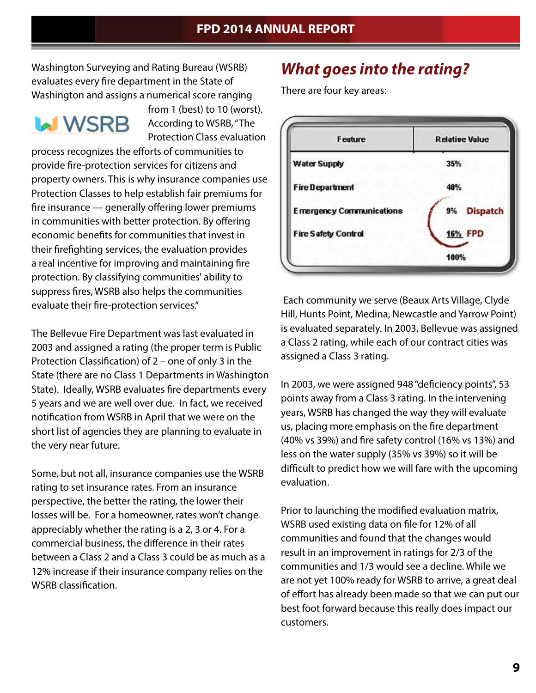Washington Surveying and Rating Bureau (WSRB) evaluates every fire department in the State of Washington and assigns a numerical score ranging

# **MWSRB**

from 1 (best) to 10 (worst). According to WSRB, "The Protection Class evaluation

process recognizes the efforts of communities to provide fire-protection services for citizens and property owners. This is why insurance companies use Protection Classes to help establish fair premiums for fire insurance — generally offering lower premiums in communities with better protection. By offering economic benefits for communities that invest in their firefighting services, the evaluation provides a real incentive for improving and maintaining fire protection. By classifying communities' ability to suppress fires, WSRB also helps the communities evaluate their fire-protection services."

The Bellevue Fire Department was last evaluated in 2003 and assigned a rating (the proper term is Public Protection Classification) of 2 – one of only 3 in the State (there are no Class 1 Departments in Washington State). Ideally, WSRB evaluates fire departments every 5 years and we are well over due. In fact, we received notification from WSRB in April that we were on the short list of agencies they are planning to evaluate in the very near future.

Some, but not all, insurance companies use the WSRB rating to set insurance rates. From an insurance perspective, the better the rating, the lower their losses will be. For a homeowner, rates won't change appreciably whether the rating is a 2, 3 or 4. For a commercial business, the difference in their rates between a Class 2 and a Class 3 could be as much as a 12% increase if their insurance company relies on the WSRB classification.

# *What goes into the rating?*

There are four key areas:



 Each community we serve (Beaux Arts Village, Clyde Hill, Hunts Point, Medina, Newcastle and Yarrow Point) is evaluated separately. In 2003, Bellevue was assigned a Class 2 rating, while each of our contract cities was assigned a Class 3 rating.

In 2003, we were assigned 948 "deficiency points", 53 points away from a Class 3 rating. In the intervening years, WSRB has changed the way they will evaluate us, placing more emphasis on the fire department (40% vs 39%) and fire safety control (16% vs 13%) and less on the water supply (35% vs 39%) so it will be difficult to predict how we will fare with the upcoming evaluation.

Prior to launching the modified evaluation matrix, WSRB used existing data on file for 12% of all communities and found that the changes would result in an improvement in ratings for 2/3 of the communities and 1/3 would see a decline. While we are not yet 100% ready for WSRB to arrive, a great deal of effort has already been made so that we can put our best foot forward because this really does impact our customers.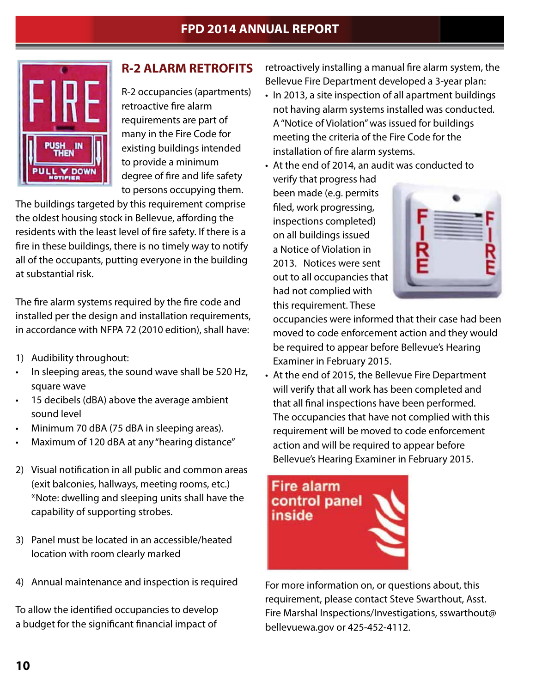

# **R-2 ALARM RETROFITS**

R-2 occupancies (apartments) retroactive fire alarm requirements are part of many in the Fire Code for existing buildings intended to provide a minimum degree of fire and life safety to persons occupying them.

The buildings targeted by this requirement comprise the oldest housing stock in Bellevue, affording the residents with the least level of fire safety. If there is a fire in these buildings, there is no timely way to notify all of the occupants, putting everyone in the building at substantial risk.

The fire alarm systems required by the fire code and installed per the design and installation requirements, in accordance with NFPA 72 (2010 edition), shall have:

- 1) Audibility throughout:
- In sleeping areas, the sound wave shall be 520 Hz, square wave
- 15 decibels (dBA) above the average ambient sound level
- Minimum 70 dBA (75 dBA in sleeping areas).
- Maximum of 120 dBA at any "hearing distance"
- 2) Visual notification in all public and common areas (exit balconies, hallways, meeting rooms, etc.) \*Note: dwelling and sleeping units shall have the capability of supporting strobes.
- 3) Panel must be located in an accessible/heated location with room clearly marked
- 4) Annual maintenance and inspection is required

To allow the identified occupancies to develop a budget for the significant financial impact of

retroactively installing a manual fire alarm system, the Bellevue Fire Department developed a 3-year plan:

• In 2013, a site inspection of all apartment buildings not having alarm systems installed was conducted. A "Notice of Violation" was issued for buildings meeting the criteria of the Fire Code for the installation of fire alarm systems.

• At the end of 2014, an audit was conducted to

verify that progress had been made (e.g. permits filed, work progressing, inspections completed) on all buildings issued a Notice of Violation in 2013. Notices were sent out to all occupancies that had not complied with this requirement. These



occupancies were informed that their case had been moved to code enforcement action and they would be required to appear before Bellevue's Hearing Examiner in February 2015.

• At the end of 2015, the Bellevue Fire Department will verify that all work has been completed and that all final inspections have been performed. The occupancies that have not complied with this requirement will be moved to code enforcement action and will be required to appear before Bellevue's Hearing Examiner in February 2015.



For more information on, or questions about, this requirement, please contact Steve Swarthout, Asst. Fire Marshal Inspections/Investigations, sswarthout@ bellevuewa.gov or 425-452-4112.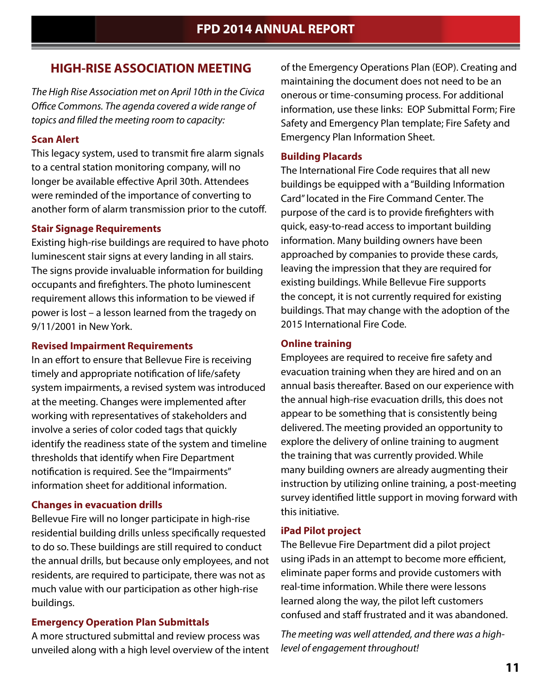### **HIGH-RISE ASSOCIATION MEETING**

*The High Rise Association met on April 10th in the Civica Office Commons. The agenda covered a wide range of topics and filled the meeting room to capacity:*

#### **Scan Alert**

This legacy system, used to transmit fire alarm signals to a central station monitoring company, will no longer be available effective April 30th. Attendees were reminded of the importance of converting to another form of alarm transmission prior to the cutoff.

#### **Stair Signage Requirements**

Existing high-rise buildings are required to have photo luminescent stair signs at every landing in all stairs. The signs provide invaluable information for building occupants and firefighters. The photo luminescent requirement allows this information to be viewed if power is lost – a lesson learned from the tragedy on 9/11/2001 in New York.

#### **Revised Impairment Requirements**

In an effort to ensure that Bellevue Fire is receiving timely and appropriate notification of life/safety system impairments, a revised system was introduced at the meeting. Changes were implemented after working with representatives of stakeholders and involve a series of color coded tags that quickly identify the readiness state of the system and timeline thresholds that identify when Fire Department notification is required. See the "Impairments" information sheet for additional information.

#### **Changes in evacuation drills**

Bellevue Fire will no longer participate in high-rise residential building drills unless specifically requested to do so. These buildings are still required to conduct the annual drills, but because only employees, and not residents, are required to participate, there was not as much value with our participation as other high-rise buildings.

#### **Emergency Operation Plan Submittals**

A more structured submittal and review process was unveiled along with a high level overview of the intent

of the Emergency Operations Plan (EOP). Creating and maintaining the document does not need to be an onerous or time-consuming process. For additional information, use these links: EOP Submittal Form; Fire Safety and Emergency Plan template; Fire Safety and Emergency Plan Information Sheet.

#### **Building Placards**

The International Fire Code requires that all new buildings be equipped with a "Building Information Card" located in the Fire Command Center. The purpose of the card is to provide firefighters with quick, easy-to-read access to important building information. Many building owners have been approached by companies to provide these cards, leaving the impression that they are required for existing buildings. While Bellevue Fire supports the concept, it is not currently required for existing buildings. That may change with the adoption of the 2015 International Fire Code.

#### **Online training**

Employees are required to receive fire safety and evacuation training when they are hired and on an annual basis thereafter. Based on our experience with the annual high-rise evacuation drills, this does not appear to be something that is consistently being delivered. The meeting provided an opportunity to explore the delivery of online training to augment the training that was currently provided. While many building owners are already augmenting their instruction by utilizing online training, a post-meeting survey identified little support in moving forward with this initiative.

#### **iPad Pilot project**

The Bellevue Fire Department did a pilot project using iPads in an attempt to become more efficient, eliminate paper forms and provide customers with real-time information. While there were lessons learned along the way, the pilot left customers confused and staff frustrated and it was abandoned.

*The meeting was well attended, and there was a highlevel of engagement throughout!*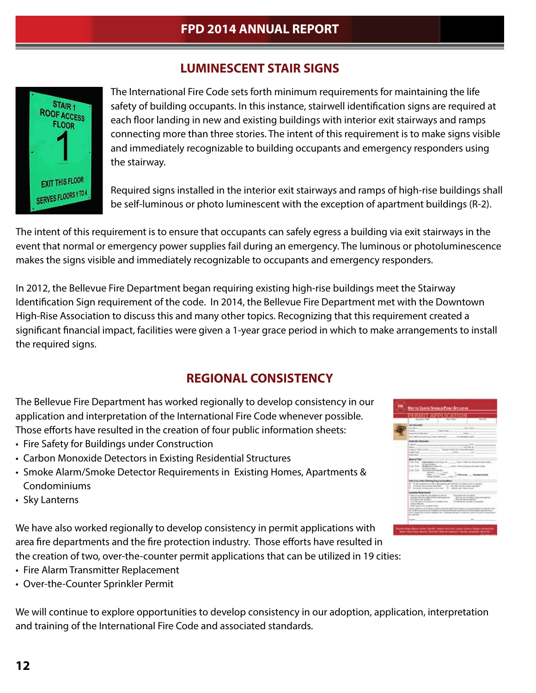# **LUMINESCENT STAIR SIGNS**



The International Fire Code sets forth minimum requirements for maintaining the life safety of building occupants. In this instance, stairwell identification signs are required at each floor landing in new and existing buildings with interior exit stairways and ramps connecting more than three stories. The intent of this requirement is to make signs visible and immediately recognizable to building occupants and emergency responders using the stairway.

Required signs installed in the interior exit stairways and ramps of high-rise buildings shall be self-luminous or photo luminescent with the exception of apartment buildings (R-2).

The intent of this requirement is to ensure that occupants can safely egress a building via exit stairways in the event that normal or emergency power supplies fail during an emergency. The luminous or photoluminescence makes the signs visible and immediately recognizable to occupants and emergency responders.

In 2012, the Bellevue Fire Department began requiring existing high-rise buildings meet the Stairway Identification Sign requirement of the code. In 2014, the Bellevue Fire Department met with the Downtown High-Rise Association to discuss this and many other topics. Recognizing that this requirement created a significant financial impact, facilities were given a 1-year grace period in which to make arrangements to install the required signs.

# **REGIONAL CONSISTENCY**

The Bellevue Fire Department has worked regionally to develop consistency in our application and interpretation of the International Fire Code whenever possible. Those efforts have resulted in the creation of four public information sheets:

- Fire Safety for Buildings under Construction
- Carbon Monoxide Detectors in Existing Residential Structures
- Smoke Alarm/Smoke Detector Requirements in Existing Homes, Apartments & Condominiums
- Sky Lanterns

We have also worked regionally to develop consistency in permit applications with area fire departments and the fire protection industry. Those efforts have resulted in the creation of two, over-the-counter permit applications that can be utilized in 19 cities:

- Fire Alarm Transmitter Replacement
- Over-the-Counter Sprinkler Permit

We will continue to explore opportunities to develop consistency in our adoption, application, interpretation and training of the International Fire Code and associated standards.

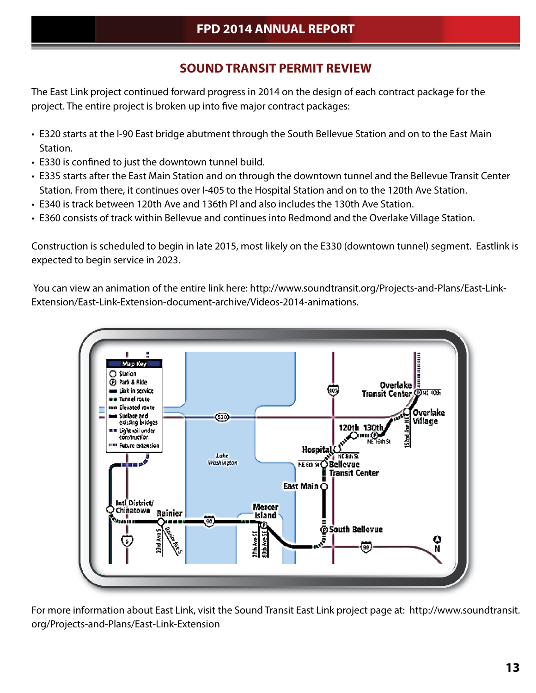# **SOUND TRANSIT PERMIT REVIEW**

The East Link project continued forward progress in 2014 on the design of each contract package for the project. The entire project is broken up into five major contract packages:

- E320 starts at the I-90 East bridge abutment through the South Bellevue Station and on to the East Main Station.
- E330 is confined to just the downtown tunnel build.
- E335 starts after the East Main Station and on through the downtown tunnel and the Bellevue Transit Center Station. From there, it continues over I-405 to the Hospital Station and on to the 120th Ave Station.
- E340 is track between 120th Ave and 136th Pl and also includes the 130th Ave Station.
- E360 consists of track within Bellevue and continues into Redmond and the Overlake Village Station.

Construction is scheduled to begin in late 2015, most likely on the E330 (downtown tunnel) segment. Eastlink is expected to begin service in 2023.

 You can view an animation of the entire link here: http://www.soundtransit.org/Projects-and-Plans/East-Link-Extension/East-Link-Extension-document-archive/Videos-2014-animations.



For more information about East Link, visit the Sound Transit East Link project page at: http://www.soundtransit. org/Projects-and-Plans/East-Link-Extension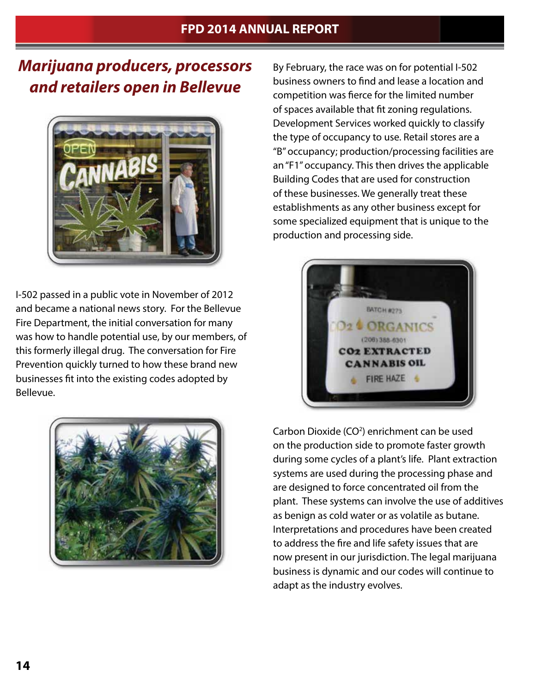# *Marijuana producers, processors and retailers open in Bellevue*



I-502 passed in a public vote in November of 2012 and became a national news story. For the Bellevue Fire Department, the initial conversation for many was how to handle potential use, by our members, of this formerly illegal drug. The conversation for Fire Prevention quickly turned to how these brand new businesses fit into the existing codes adopted by Bellevue.



By February, the race was on for potential I-502 business owners to find and lease a location and competition was fierce for the limited number of spaces available that fit zoning regulations. Development Services worked quickly to classify the type of occupancy to use. Retail stores are a "B" occupancy; production/processing facilities are an "F1" occupancy. This then drives the applicable Building Codes that are used for construction of these businesses. We generally treat these establishments as any other business except for some specialized equipment that is unique to the production and processing side.



Carbon Dioxide (CO<sup>2</sup>) enrichment can be used on the production side to promote faster growth during some cycles of a plant's life. Plant extraction systems are used during the processing phase and are designed to force concentrated oil from the plant. These systems can involve the use of additives as benign as cold water or as volatile as butane. Interpretations and procedures have been created to address the fire and life safety issues that are now present in our jurisdiction. The legal marijuana business is dynamic and our codes will continue to adapt as the industry evolves.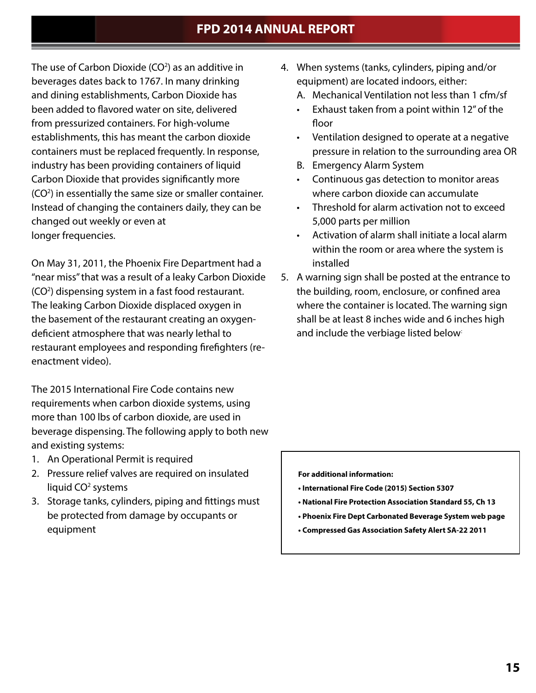The use of Carbon Dioxide (CO<sup>2</sup>) as an additive in beverages dates back to 1767. In many drinking and dining establishments, Carbon Dioxide has been added to flavored water on site, delivered from pressurized containers. For high-volume establishments, this has meant the carbon dioxide containers must be replaced frequently. In response, industry has been providing containers of liquid Carbon Dioxide that provides significantly more (CO<sup>2</sup>) in essentially the same size or smaller container. Instead of changing the containers daily, they can be changed out weekly or even at longer frequencies.

On May 31, 2011, the Phoenix Fire Department had a "near miss" that was a result of a leaky Carbon Dioxide (CO<sup>2</sup>) dispensing system in a fast food restaurant. The leaking Carbon Dioxide displaced oxygen in the basement of the restaurant creating an oxygendeficient atmosphere that was nearly lethal to restaurant employees and responding firefighters (reenactment video).

The 2015 International Fire Code contains new requirements when carbon dioxide systems, using more than 100 lbs of carbon dioxide, are used in beverage dispensing. The following apply to both new and existing systems:

- 1. An Operational Permit is required
- 2. Pressure relief valves are required on insulated liquid CO<sup>2</sup> systems
- 3. Storage tanks, cylinders, piping and fittings must be protected from damage by occupants or equipment
- 4. When systems (tanks, cylinders, piping and/or equipment) are located indoors, either:
	- A. Mechanical Ventilation not less than 1 cfm/sf
	- Exhaust taken from a point within 12" of the floor
	- Ventilation designed to operate at a negative pressure in relation to the surrounding area OR
	- B. Emergency Alarm System
	- Continuous gas detection to monitor areas where carbon dioxide can accumulate
	- Threshold for alarm activation not to exceed 5,000 parts per million
	- Activation of alarm shall initiate a local alarm within the room or area where the system is installed
- 5. A warning sign shall be posted at the entrance to the building, room, enclosure, or confined area where the container is located. The warning sign shall be at least 8 inches wide and 6 inches high and include the verbiage listed below:

 **For additional information:**

- **International Fire Code (2015) Section 5307**
- **National Fire Protection Association Standard 55, Ch 13**
- **Phoenix Fire Dept Carbonated Beverage System web page**
- **Compressed Gas Association Safety Alert SA-22 2011**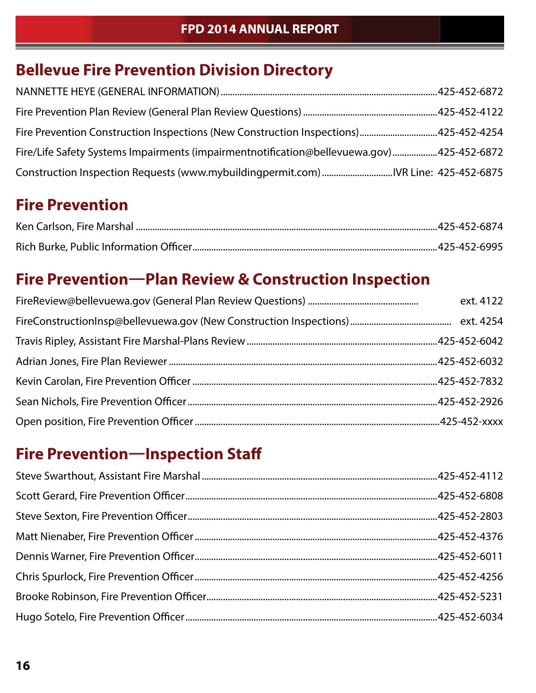# **Bellevue Fire Prevention Division Directory**

| Fire Prevention Construction Inspections (New Construction Inspections)425-452-4254      |  |
|------------------------------------------------------------------------------------------|--|
| Fire/Life Safety Systems Impairments (impairmentnotification@bellevuewa.gov)425-452-6872 |  |
| Construction Inspection Requests (www.mybuildingpermit.com) IVR Line: 425-452-6875       |  |

# **Fire Prevention**

# **Fire Prevention—Plan Review & Construction Inspection**

| ext. 4122 |
|-----------|
|           |
|           |
|           |
|           |
|           |
|           |

# **Fire Prevention—Inspection Staff**